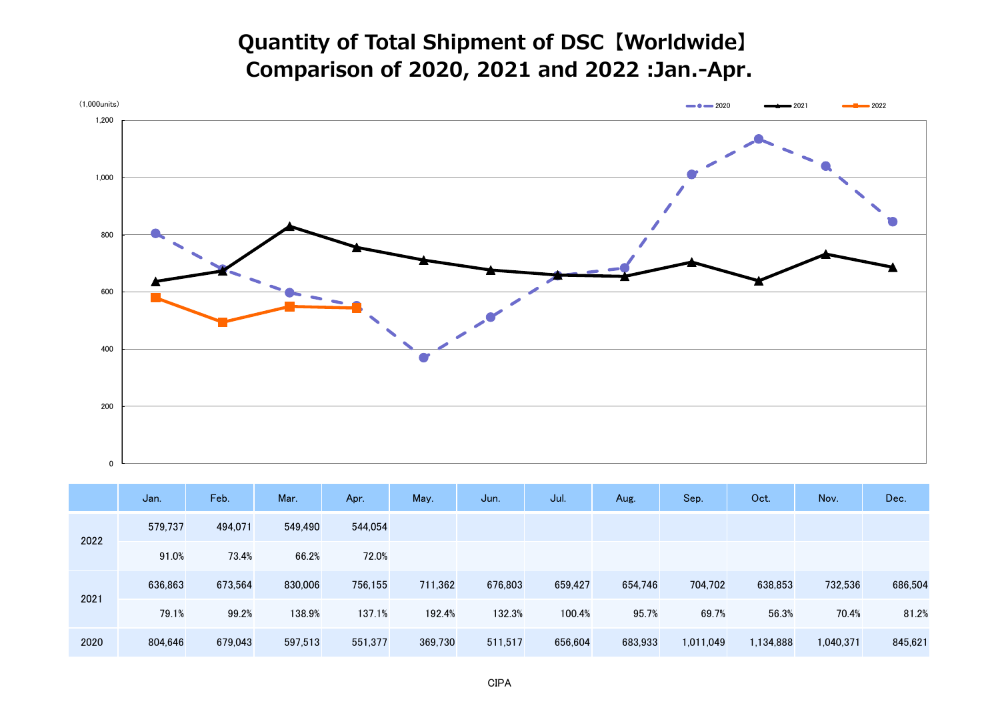## **Quantity of Total Shipment of DSC【Worldwide】 Comparison of 2020, 2021 and 2022 :Jan.-Apr.**



|      | Jan.    | Feb.    | Mar.    | Apr.    | May.    | Jun.    | Jul.    | Aug.    | Sep.      | Oct.      | Nov.      | Dec.    |
|------|---------|---------|---------|---------|---------|---------|---------|---------|-----------|-----------|-----------|---------|
| 2022 | 579,737 | 494,071 | 549,490 | 544,054 |         |         |         |         |           |           |           |         |
|      | 91.0%   | 73.4%   | 66.2%   | 72.0%   |         |         |         |         |           |           |           |         |
| 2021 | 636,863 | 673,564 | 830,006 | 756,155 | 711,362 | 676,803 | 659,427 | 654,746 | 704,702   | 638,853   | 732,536   | 686,504 |
|      | 79.1%   | 99.2%   | 138.9%  | 137.1%  | 192.4%  | 132.3%  | 100.4%  | 95.7%   | 69.7%     | 56.3%     | 70.4%     | 81.2%   |
| 2020 | 804,646 | 679,043 | 597,513 | 551,377 | 369,730 | 511,517 | 656,604 | 683,933 | 1,011,049 | 1,134,888 | 1,040,371 | 845,621 |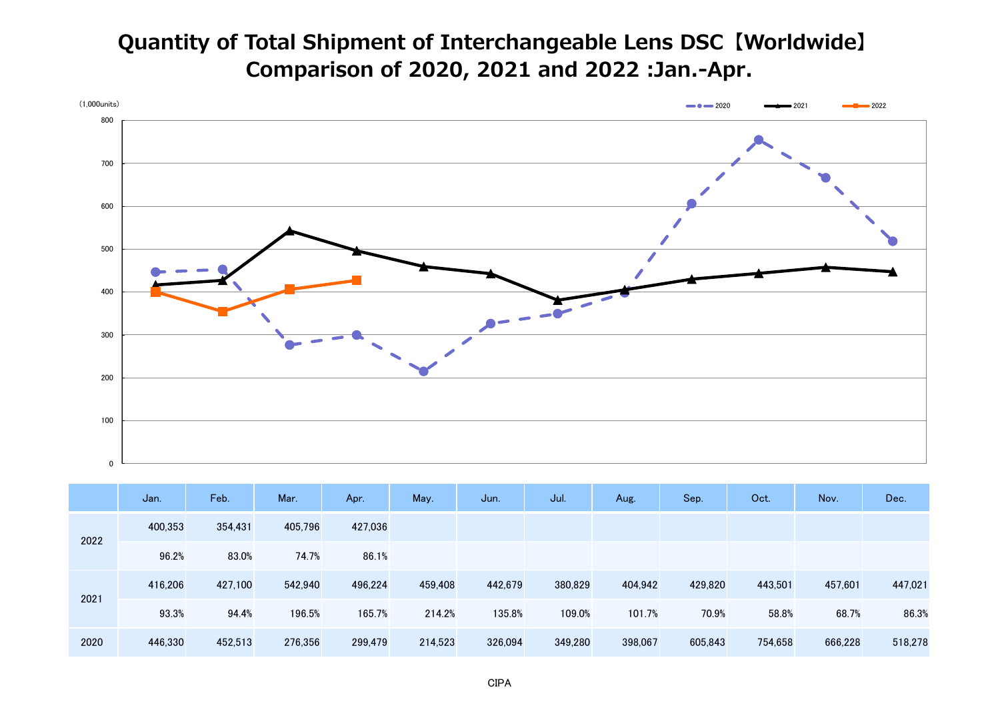## **Quantity of Total Shipment of Interchangeable Lens DSC【Worldwide】 Comparison of 2020, 2021 and 2022 :Jan.-Apr.**



|      | Jan.    | Feb.    | Mar.    | Apr.    | May.    | Jun.    | Jul.    | Aug.    | Sep.    | Oct.    | Nov.    | Dec.    |
|------|---------|---------|---------|---------|---------|---------|---------|---------|---------|---------|---------|---------|
| 2022 | 400,353 | 354,431 | 405,796 | 427,036 |         |         |         |         |         |         |         |         |
|      | 96.2%   | 83.0%   | 74.7%   | 86.1%   |         |         |         |         |         |         |         |         |
| 2021 | 416,206 | 427,100 | 542,940 | 496,224 | 459,408 | 442,679 | 380,829 | 404,942 | 429,820 | 443,501 | 457,601 | 447,021 |
|      | 93.3%   | 94.4%   | 196.5%  | 165.7%  | 214.2%  | 135.8%  | 109.0%  | 101.7%  | 70.9%   | 58.8%   | 68.7%   | 86.3%   |
| 2020 | 446,330 | 452,513 | 276,356 | 299,479 | 214,523 | 326,094 | 349,280 | 398,067 | 605,843 | 754,658 | 666,228 | 518,278 |